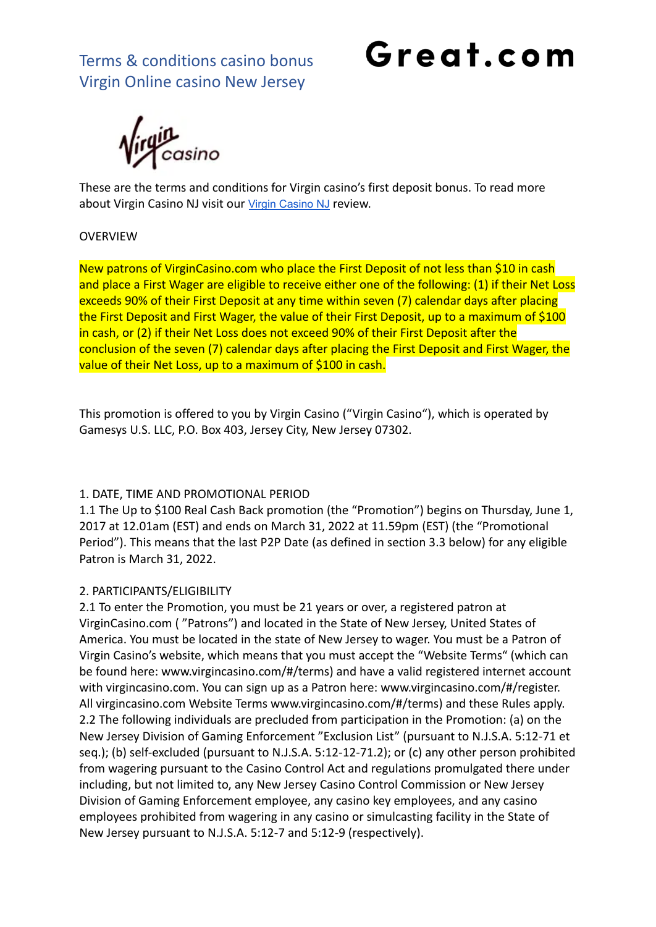## Great.com

**y**<br>casino

These are the terms and conditions for Virgin casino's first deposit bonus. To read more about Virgin [Casino](https://great.com/en-us/online-casino/virgin-online-casino-nj/) NJ visit our Virgin Casino NJ review.

#### **OVERVIEW**

New patrons of VirginCasino.com who place the First Deposit of not less than \$10 in cash and place a First Wager are eligible to receive either one of the following: (1) if their Net Loss exceeds 90% of their First Deposit at any time within seven (7) calendar days after placing the First Deposit and First Wager, the value of their First Deposit, up to a maximum of \$100 in cash, or (2) if their Net Loss does not exceed 90% of their First Deposit after the conclusion of the seven (7) calendar days after placing the First Deposit and First Wager, the value of their Net Loss, up to a maximum of \$100 in cash.

This promotion is offered to you by Virgin Casino ("Virgin Casino"), which is operated by Gamesys U.S. LLC, P.O. Box 403, Jersey City, New Jersey 07302.

#### 1. DATE, TIME AND PROMOTIONAL PERIOD

1.1 The Up to \$100 Real Cash Back promotion (the "Promotion") begins on Thursday, June 1, 2017 at 12.01am (EST) and ends on March 31, 2022 at 11.59pm (EST) (the "Promotional Period"). This means that the last P2P Date (as defined in section 3.3 below) for any eligible Patron is March 31, 2022.

#### 2. PARTICIPANTS/ELIGIBILITY

2.1 To enter the Promotion, you must be 21 years or over, a registered patron at VirginCasino.com ( "Patrons") and located in the State of New Jersey, United States of America. You must be located in the state of New Jersey to wager. You must be a Patron of Virgin Casino's website, which means that you must accept the "Website Terms" (which can be found here: www.virgincasino.com/#/terms) and have a valid registered internet account with virgincasino.com. You can sign up as a Patron here: www.virgincasino.com/#/register. All virgincasino.com Website Terms www.virgincasino.com/#/terms) and these Rules apply. 2.2 The following individuals are precluded from participation in the Promotion: (a) on the New Jersey Division of Gaming Enforcement "Exclusion List" (pursuant to N.J.S.A. 5:12-71 et seq.); (b) self-excluded (pursuant to N.J.S.A. 5:12-12-71.2); or (c) any other person prohibited from wagering pursuant to the Casino Control Act and regulations promulgated there under including, but not limited to, any New Jersey Casino Control Commission or New Jersey Division of Gaming Enforcement employee, any casino key employees, and any casino employees prohibited from wagering in any casino or simulcasting facility in the State of New Jersey pursuant to N.J.S.A. 5:12-7 and 5:12-9 (respectively).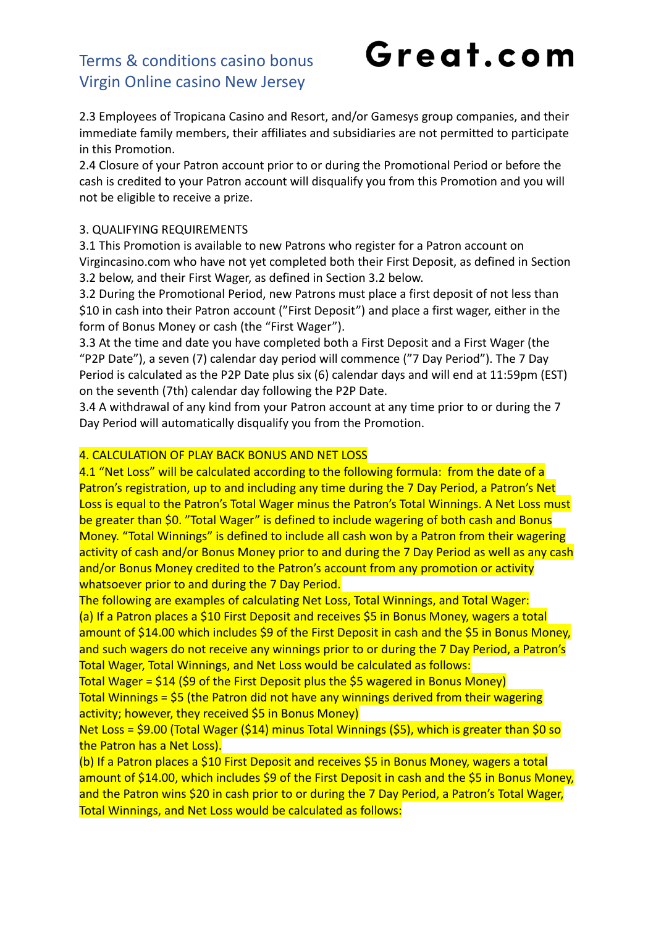# Great.com

2.3 Employees of Tropicana Casino and Resort, and/or Gamesys group companies, and their immediate family members, their affiliates and subsidiaries are not permitted to participate in this Promotion.

2.4 Closure of your Patron account prior to or during the Promotional Period or before the cash is credited to your Patron account will disqualify you from this Promotion and you will not be eligible to receive a prize.

#### 3. QUALIFYING REQUIREMENTS

3.1 This Promotion is available to new Patrons who register for a Patron account on Virgincasino.com who have not yet completed both their First Deposit, as defined in Section 3.2 below, and their First Wager, as defined in Section 3.2 below.

3.2 During the Promotional Period, new Patrons must place a first deposit of not less than \$10 in cash into their Patron account ("First Deposit") and place a first wager, either in the form of Bonus Money or cash (the "First Wager").

3.3 At the time and date you have completed both a First Deposit and a First Wager (the "P2P Date"), a seven (7) calendar day period will commence ("7 Day Period"). The 7 Day Period is calculated as the P2P Date plus six (6) calendar days and will end at 11:59pm (EST) on the seventh (7th) calendar day following the P2P Date.

3.4 A withdrawal of any kind from your Patron account at any time prior to or during the 7 Day Period will automatically disqualify you from the Promotion.

#### 4. CALCULATION OF PLAY BACK BONUS AND NET LOSS

4.1 "Net Loss" will be calculated according to the following formula: from the date of a Patron's registration, up to and including any time during the 7 Day Period, a Patron's Net Loss is equal to the Patron's Total Wager minus the Patron's Total Winnings. A Net Loss must be greater than \$0. "Total Wager" is defined to include wagering of both cash and Bonus Money. "Total Winnings" is defined to include all cash won by a Patron from their wagering activity of cash and/or Bonus Money prior to and during the 7 Day Period as well as any cash and/or Bonus Money credited to the Patron's account from any promotion or activity whatsoever prior to and during the 7 Day Period.

The following are examples of calculating Net Loss, Total Winnings, and Total Wager: (a) If a Patron places a \$10 First Deposit and receives \$5 in Bonus Money, wagers a total amount of \$14.00 which includes \$9 of the First Deposit in cash and the \$5 in Bonus Money, and such wagers do not receive any winnings prior to or during the 7 Day Period, a Patron's Total Wager, Total Winnings, and Net Loss would be calculated as follows:

Total Wager = \$14 (\$9 of the First Deposit plus the \$5 wagered in Bonus Money) Total Winnings =  $$5$  (the Patron did not have any winnings derived from their wagering activity; however, they received \$5 in Bonus Money)

Net Loss = \$9.00 (Total Wager (\$14) minus Total Winnings (\$5), which is greater than \$0 so the Patron has a Net Loss).

(b) If a Patron places a \$10 First Deposit and receives \$5 in Bonus Money, wagers a total amount of \$14.00, which includes \$9 of the First Deposit in cash and the \$5 in Bonus Money, and the Patron wins \$20 in cash prior to or during the 7 Day Period, a Patron's Total Wager, Total Winnings, and Net Loss would be calculated as follows: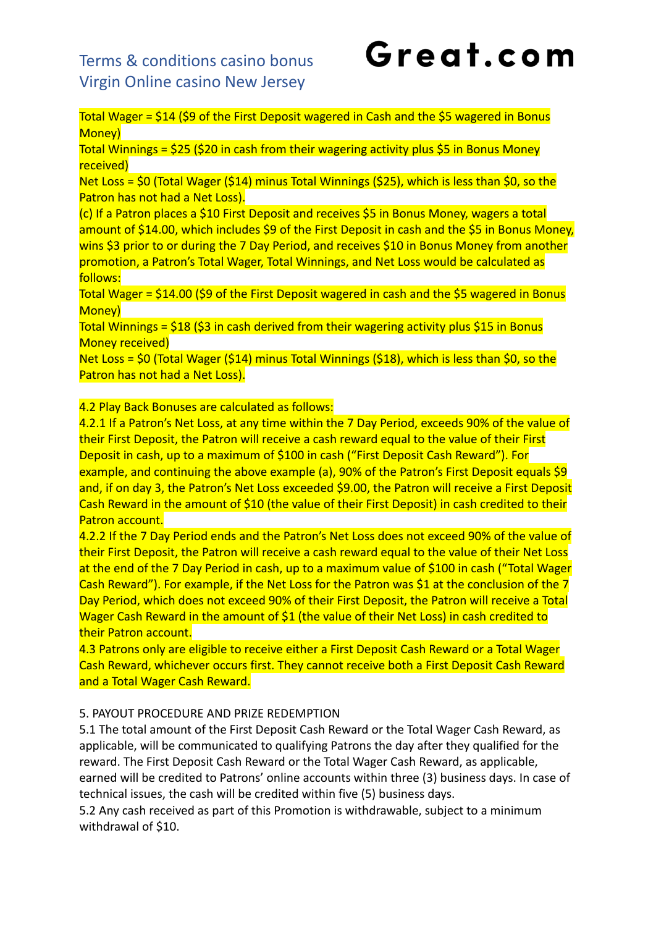Total Wager =  $$14$  ( $$9$  of the First Deposit wagered in Cash and the  $$5$  wagered in Bonus Money)

Total Winnings =  $$25$  ( $$20$  in cash from their wagering activity plus  $$5$  in Bonus Money received)

Net Loss = \$0 (Total Wager (\$14) minus Total Winnings (\$25), which is less than \$0, so the Patron has not had a Net Loss).

(c) If a Patron places a \$10 First Deposit and receives \$5 in Bonus Money, wagers a total amount of \$14.00, which includes \$9 of the First Deposit in cash and the \$5 in Bonus Money, wins \$3 prior to or during the 7 Day Period, and receives \$10 in Bonus Money from another promotion, a Patron's Total Wager, Total Winnings, and Net Loss would be calculated as follows:

Total Wager = \$14.00 (\$9 of the First Deposit wagered in cash and the \$5 wagered in Bonus Money)

Total Winnings = \$18 (\$3 in cash derived from their wagering activity plus \$15 in Bonus Money received)

Net Loss = \$0 (Total Wager (\$14) minus Total Winnings (\$18), which is less than \$0, so the Patron has not had a Net Loss).

#### 4.2 Play Back Bonuses are calculated as follows:

4.2.1 If a Patron's Net Loss, at any time within the 7 Day Period, exceeds 90% of the value of their First Deposit, the Patron will receive a cash reward equal to the value of their First Deposit in cash, up to a maximum of \$100 in cash ("First Deposit Cash Reward"). For example, and continuing the above example (a), 90% of the Patron's First Deposit equals \$9 and, if on day 3, the Patron's Net Loss exceeded \$9.00, the Patron will receive a First Deposit Cash Reward in the amount of \$10 (the value of their First Deposit) in cash credited to their Patron account.

4.2.2 If the 7 Day Period ends and the Patron's Net Loss does not exceed 90% of the value of their First Deposit, the Patron will receive a cash reward equal to the value of their Net Loss at the end of the 7 Day Period in cash, up to a maximum value of \$100 in cash ("Total Wager Cash Reward"). For example, if the Net Loss for the Patron was \$1 at the conclusion of the 7 Day Period, which does not exceed 90% of their First Deposit, the Patron will receive a Total Wager Cash Reward in the amount of \$1 (the value of their Net Loss) in cash credited to their Patron account.

4.3 Patrons only are eligible to receive either a First Deposit Cash Reward or a Total Wager Cash Reward, whichever occurs first. They cannot receive both a First Deposit Cash Reward and a Total Wager Cash Reward.

#### 5. PAYOUT PROCEDURE AND PRIZE REDEMPTION

5.1 The total amount of the First Deposit Cash Reward or the Total Wager Cash Reward, as applicable, will be communicated to qualifying Patrons the day after they qualified for the reward. The First Deposit Cash Reward or the Total Wager Cash Reward, as applicable, earned will be credited to Patrons' online accounts within three (3) business days. In case of technical issues, the cash will be credited within five (5) business days.

5.2 Any cash received as part of this Promotion is withdrawable, subject to a minimum withdrawal of \$10.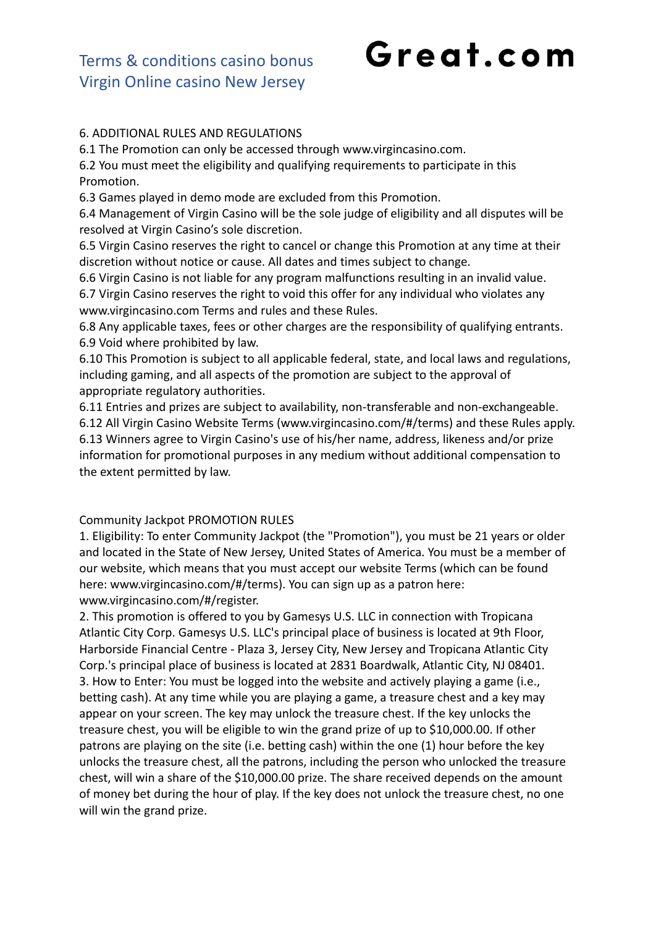## Great.com

#### 6. ADDITIONAL RULES AND REGULATIONS

6.1 The Promotion can only be accessed through www.virgincasino.com.

6.2 You must meet the eligibility and qualifying requirements to participate in this Promotion.

6.3 Games played in demo mode are excluded from this Promotion.

6.4 Management of Virgin Casino will be the sole judge of eligibility and all disputes will be resolved at Virgin Casino's sole discretion.

6.5 Virgin Casino reserves the right to cancel or change this Promotion at any time at their discretion without notice or cause. All dates and times subject to change.

6.6 Virgin Casino is not liable for any program malfunctions resulting in an invalid value.

6.7 Virgin Casino reserves the right to void this offer for any individual who violates any www.virgincasino.com Terms and rules and these Rules.

6.8 Any applicable taxes, fees or other charges are the responsibility of qualifying entrants. 6.9 Void where prohibited by law.

6.10 This Promotion is subject to all applicable federal, state, and local laws and regulations, including gaming, and all aspects of the promotion are subject to the approval of appropriate regulatory authorities.

6.11 Entries and prizes are subject to availability, non-transferable and non-exchangeable. 6.12 All Virgin Casino Website Terms (www.virgincasino.com/#/terms) and these Rules apply. 6.13 Winners agree to Virgin Casino's use of his/her name, address, likeness and/or prize information for promotional purposes in any medium without additional compensation to the extent permitted by law.

#### Community Jackpot PROMOTION RULES

1. Eligibility: To enter Community Jackpot (the "Promotion"), you must be 21 years or older and located in the State of New Jersey, United States of America. You must be a member of our website, which means that you must accept our website Terms (which can be found here: www.virgincasino.com/#/terms). You can sign up as a patron here: www.virgincasino.com/#/register.

2. This promotion is offered to you by Gamesys U.S. LLC in connection with Tropicana Atlantic City Corp. Gamesys U.S. LLC's principal place of business is located at 9th Floor, Harborside Financial Centre - Plaza 3, Jersey City, New Jersey and Tropicana Atlantic City Corp.'s principal place of business is located at 2831 Boardwalk, Atlantic City, NJ 08401. 3. How to Enter: You must be logged into the website and actively playing a game (i.e., betting cash). At any time while you are playing a game, a treasure chest and a key may appear on your screen. The key may unlock the treasure chest. If the key unlocks the treasure chest, you will be eligible to win the grand prize of up to \$10,000.00. If other patrons are playing on the site (i.e. betting cash) within the one (1) hour before the key unlocks the treasure chest, all the patrons, including the person who unlocked the treasure chest, will win a share of the \$10,000.00 prize. The share received depends on the amount of money bet during the hour of play. If the key does not unlock the treasure chest, no one will win the grand prize.